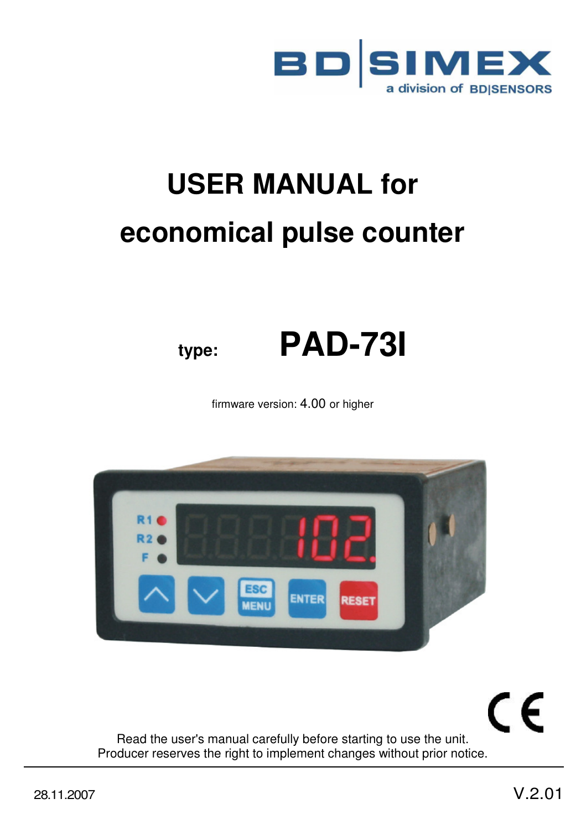

# **USER MANUAL for economical pulse counter**



firmware version: 4.00 or higher



Read the user's manual carefully before starting to use the unit. Producer reserves the right to implement changes without prior notice.

 $\epsilon$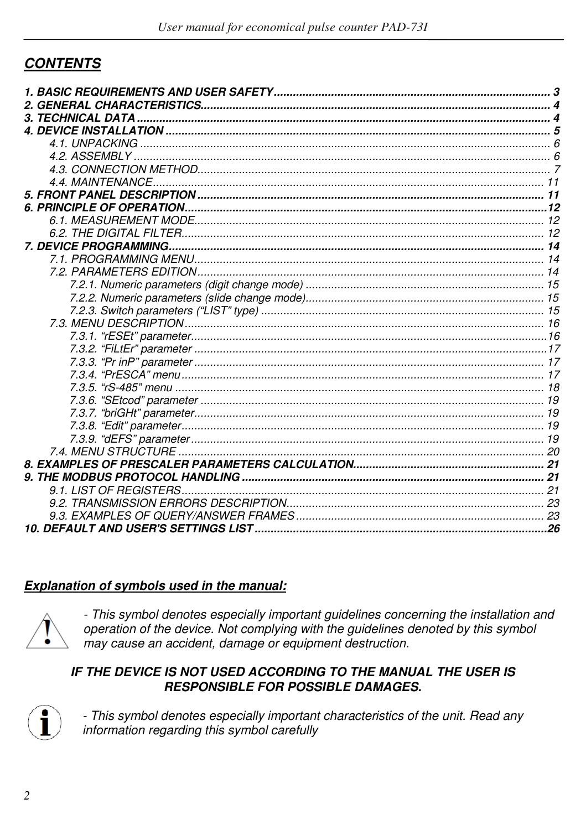# **CONTENTS**

#### Explanation of symbols used in the manual:



- This symbol denotes especially important guidelines concerning the installation and operation of the device. Not complying with the guidelines denoted by this symbol may cause an accident, damage or equipment destruction.

#### IF THE DEVICE IS NOT USED ACCORDING TO THE MANUAL THE USER IS **RESPONSIBLE FOR POSSIBLE DAMAGES.**



- This symbol denotes especially important characteristics of the unit. Read any information regarding this symbol carefully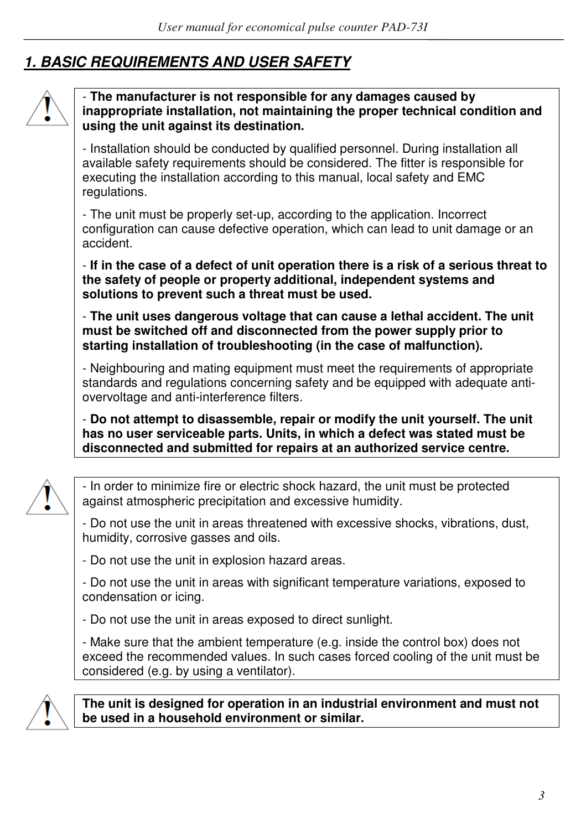# *1. BASIC REQUIREMENTS AND USER SAFETY*



#### - **The manufacturer is not responsible for any damages caused by inappropriate installation, not maintaining the proper technical condition and using the unit against its destination.**

- Installation should be conducted by qualified personnel. During installation all available safety requirements should be considered. The fitter is responsible for executing the installation according to this manual, local safety and EMC regulations.

- The unit must be properly set-up, according to the application. Incorrect configuration can cause defective operation, which can lead to unit damage or an accident.

- **If in the case of a defect of unit operation there is a risk of a serious threat to the safety of people or property additional, independent systems and solutions to prevent such a threat must be used.** 

- **The unit uses dangerous voltage that can cause a lethal accident. The unit must be switched off and disconnected from the power supply prior to starting installation of troubleshooting (in the case of malfunction).** 

- Neighbouring and mating equipment must meet the requirements of appropriate standards and regulations concerning safety and be equipped with adequate antiovervoltage and anti-interference filters.

- **Do not attempt to disassemble, repair or modify the unit yourself. The unit has no user serviceable parts. Units, in which a defect was stated must be disconnected and submitted for repairs at an authorized service centre.** 



- In order to minimize fire or electric shock hazard, the unit must be protected against atmospheric precipitation and excessive humidity.

- Do not use the unit in areas threatened with excessive shocks, vibrations, dust, humidity, corrosive gasses and oils.
- Do not use the unit in explosion hazard areas.

- Do not use the unit in areas with significant temperature variations, exposed to condensation or icing.

- Do not use the unit in areas exposed to direct sunlight.

- Make sure that the ambient temperature (e.g. inside the control box) does not exceed the recommended values. In such cases forced cooling of the unit must be considered (e.g. by using a ventilator).



**The unit is designed for operation in an industrial environment and must not be used in a household environment or similar.**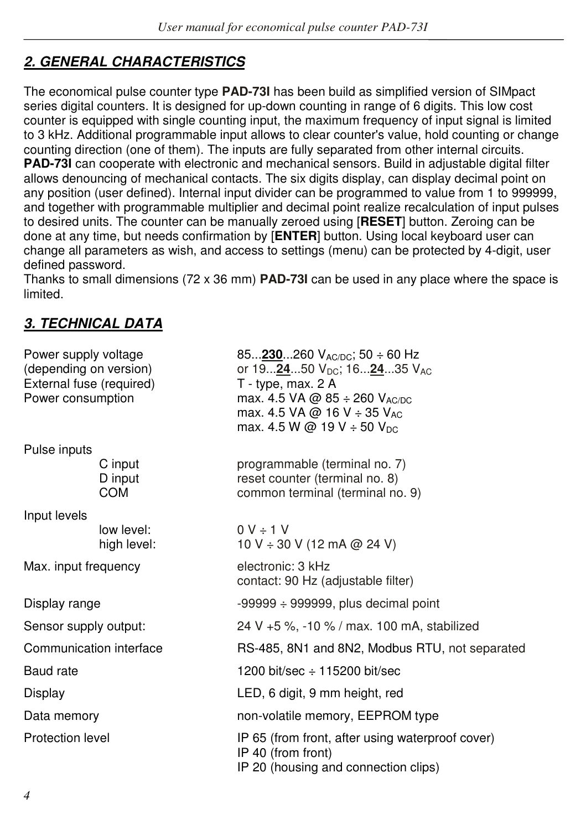# *2. GENERAL CHARACTERISTICS*

The economical pulse counter type **PAD-73I** has been build as simplified version of SIMpact series digital counters. It is designed for up-down counting in range of 6 digits. This low cost counter is equipped with single counting input, the maximum frequency of input signal is limited to 3 kHz. Additional programmable input allows to clear counter's value, hold counting or change counting direction (one of them). The inputs are fully separated from other internal circuits. **PAD-73I** can cooperate with electronic and mechanical sensors. Build in adjustable digital filter allows denouncing of mechanical contacts. The six digits display, can display decimal point on any position (user defined). Internal input divider can be programmed to value from 1 to 999999, and together with programmable multiplier and decimal point realize recalculation of input pulses to desired units. The counter can be manually zeroed using [**RESET**] button. Zeroing can be done at any time, but needs confirmation by [**ENTER**] button. Using local keyboard user can change all parameters as wish, and access to settings (menu) can be protected by 4-digit, user defined password.

Thanks to small dimensions (72 x 36 mm) **PAD-73I** can be used in any place where the space is limited.

# *3. TECHNICAL DATA*

| Power supply voltage<br>(depending on version)<br>External fuse (required)<br>Power consumption |                           | 85230260 $V_{AC/DC}$ ; 50 $\div$ 60 Hz<br>or 192450 V <sub>DC</sub> ; 162435 V <sub>AC</sub><br>T - type, max. 2 A<br>max. 4.5 VA @ 85 ÷ 260 VAC/DC<br>max. 4.5 VA @ 16 V ÷ 35 V <sub>AC</sub><br>max. 4.5 W @ 19 V $\div$ 50 V <sub>DC</sub> |
|-------------------------------------------------------------------------------------------------|---------------------------|-----------------------------------------------------------------------------------------------------------------------------------------------------------------------------------------------------------------------------------------------|
| Pulse inputs                                                                                    |                           |                                                                                                                                                                                                                                               |
|                                                                                                 | C input<br>D input<br>COM | programmable (terminal no. 7)<br>reset counter (terminal no. 8)<br>common terminal (terminal no. 9)                                                                                                                                           |
| Input levels                                                                                    |                           |                                                                                                                                                                                                                                               |
|                                                                                                 | low level:<br>high level: | $0 V \div 1 V$<br>10 V ÷ 30 V (12 mA @ 24 V)                                                                                                                                                                                                  |
| Max. input frequency                                                                            |                           | electronic: 3 kHz<br>contact: 90 Hz (adjustable filter)                                                                                                                                                                                       |
| Display range                                                                                   |                           | $-99999 \div 999999$ , plus decimal point                                                                                                                                                                                                     |
| Sensor supply output:                                                                           |                           | 24 V +5 %, -10 % / max. 100 mA, stabilized                                                                                                                                                                                                    |
| Communication interface                                                                         |                           | RS-485, 8N1 and 8N2, Modbus RTU, not separated                                                                                                                                                                                                |
| Baud rate                                                                                       |                           | 1200 bit/sec $\div$ 115200 bit/sec                                                                                                                                                                                                            |
| Display                                                                                         |                           | LED, 6 digit, 9 mm height, red                                                                                                                                                                                                                |
| Data memory                                                                                     |                           | non-volatile memory, EEPROM type                                                                                                                                                                                                              |
| Protection level                                                                                |                           | IP 65 (from front, after using waterproof cover)<br>IP 40 (from front)<br>IP 20 (housing and connection clips)                                                                                                                                |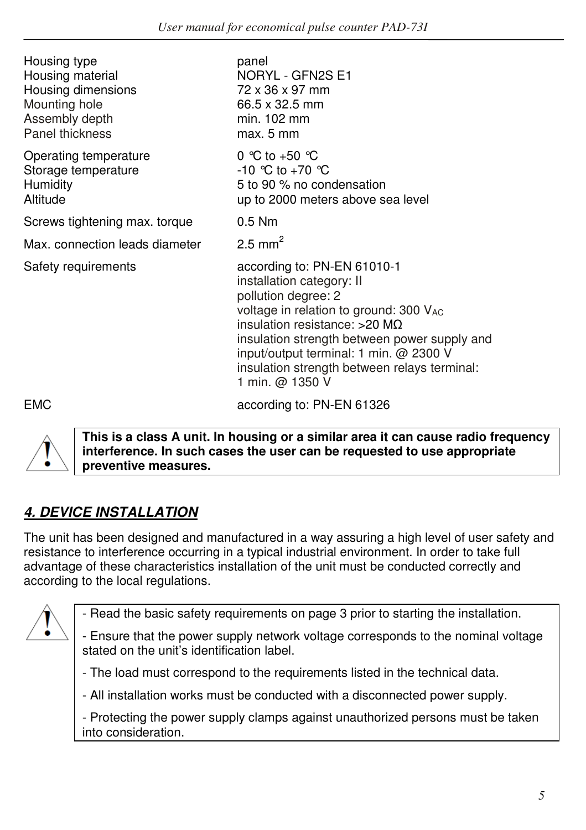| Housing type<br>Housing material<br>Housing dimensions<br>Mounting hole<br>Assembly depth<br>Panel thickness | panel<br>NORYL - GFN2S E1<br>72 x 36 x 97 mm<br>66.5 x 32.5 mm<br>min. 102 mm<br>max. 5 mm                                                                                                                                                                                                                                            |
|--------------------------------------------------------------------------------------------------------------|---------------------------------------------------------------------------------------------------------------------------------------------------------------------------------------------------------------------------------------------------------------------------------------------------------------------------------------|
| Operating temperature<br>Storage temperature<br>Humidity<br>Altitude                                         | 0 °C to +50 $^{\circ}$ C<br>$-10$ °C to $+70$ °C<br>5 to 90 % no condensation<br>up to 2000 meters above sea level                                                                                                                                                                                                                    |
| Screws tightening max. torque                                                                                | $0.5$ Nm                                                                                                                                                                                                                                                                                                                              |
| Max. connection leads diameter                                                                               | $2.5$ mm <sup>2</sup>                                                                                                                                                                                                                                                                                                                 |
| Safety requirements                                                                                          | according to: PN-EN 61010-1<br>installation category: II<br>pollution degree: 2<br>voltage in relation to ground: 300 V <sub>AC</sub><br>insulation resistance: $>20$ MQ<br>insulation strength between power supply and<br>input/output terminal: 1 min. @ 2300 V<br>insulation strength between relays terminal:<br>1 min. @ 1350 V |
| <b>EMC</b>                                                                                                   | according to: PN-EN 61326                                                                                                                                                                                                                                                                                                             |



**This is a class A unit. In housing or a similar area it can cause radio frequency interference. In such cases the user can be requested to use appropriate preventive measures.** 

# *4. DEVICE INSTALLATION*

The unit has been designed and manufactured in a way assuring a high level of user safety and resistance to interference occurring in a typical industrial environment. In order to take full advantage of these characteristics installation of the unit must be conducted correctly and according to the local regulations.



- Read the basic safety requirements on page 3 prior to starting the installation.

- Ensure that the power supply network voltage corresponds to the nominal voltage stated on the unit's identification label.

- The load must correspond to the requirements listed in the technical data.

- All installation works must be conducted with a disconnected power supply.

- Protecting the power supply clamps against unauthorized persons must be taken into consideration.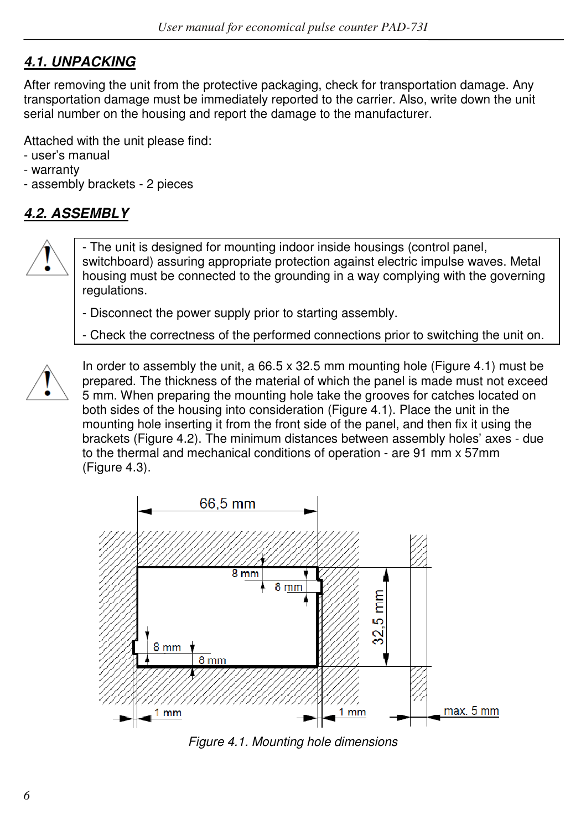# *4.1. UNPACKING*

After removing the unit from the protective packaging, check for transportation damage. Any transportation damage must be immediately reported to the carrier. Also, write down the unit serial number on the housing and report the damage to the manufacturer.

Attached with the unit please find:

- user's manual
- warranty
- assembly brackets 2 pieces

# *4.2. ASSEMBLY*



- The unit is designed for mounting indoor inside housings (control panel, switchboard) assuring appropriate protection against electric impulse waves. Metal housing must be connected to the grounding in a way complying with the governing regulations.

- Disconnect the power supply prior to starting assembly.

- Check the correctness of the performed connections prior to switching the unit on.



In order to assembly the unit, a  $66.5 \times 32.5$  mm mounting hole (Figure 4.1) must be prepared. The thickness of the material of which the panel is made must not exceed 5 mm. When preparing the mounting hole take the grooves for catches located on both sides of the housing into consideration (Figure 4.1). Place the unit in the mounting hole inserting it from the front side of the panel, and then fix it using the brackets (Figure 4.2). The minimum distances between assembly holes' axes - due to the thermal and mechanical conditions of operation - are 91 mm x 57mm (Figure 4.3).



*Figure 4.1. Mounting hole dimensions*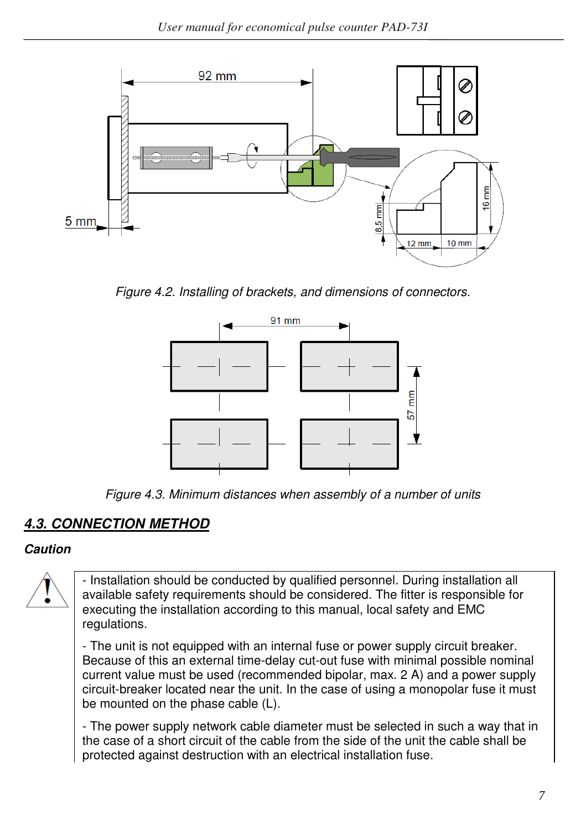

*Figure 4.2. Installing of brackets, and dimensions of connectors.* 



*Figure 4.3. Minimum distances when assembly of a number of units* 

# *4.3. CONNECTION METHOD*

#### *Caution*

- Installation should be conducted by qualified personnel. During installation all available safety requirements should be considered. The fitter is responsible for executing the installation according to this manual, local safety and EMC regulations.

- The unit is not equipped with an internal fuse or power supply circuit breaker. Because of this an external time-delay cut-out fuse with minimal possible nominal current value must be used (recommended bipolar, max. 2 A) and a power supply circuit-breaker located near the unit. In the case of using a monopolar fuse it must be mounted on the phase cable (L).

- The power supply network cable diameter must be selected in such a way that in the case of a short circuit of the cable from the side of the unit the cable shall be protected against destruction with an electrical installation fuse.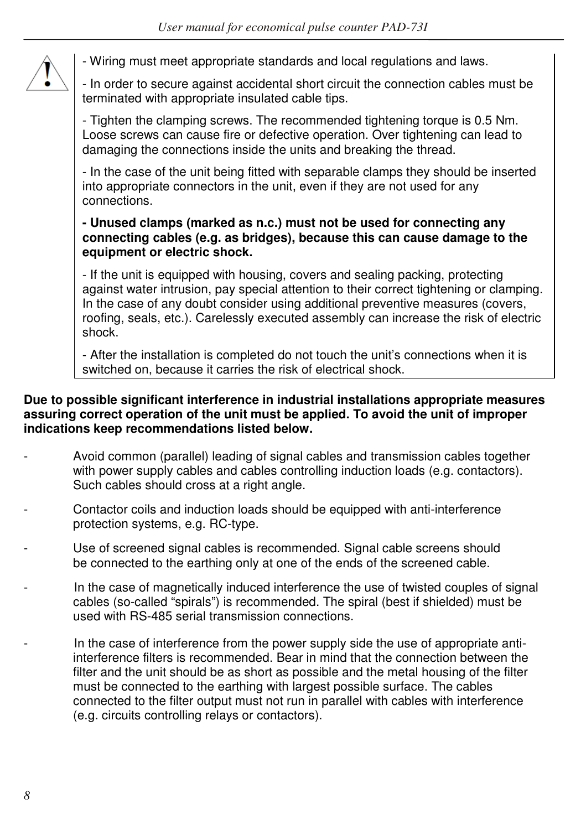

- Wiring must meet appropriate standards and local regulations and laws.

- In order to secure against accidental short circuit the connection cables must be terminated with appropriate insulated cable tips.

- Tighten the clamping screws. The recommended tightening torque is 0.5 Nm. Loose screws can cause fire or defective operation. Over tightening can lead to damaging the connections inside the units and breaking the thread.

- In the case of the unit being fitted with separable clamps they should be inserted into appropriate connectors in the unit, even if they are not used for any connections.

#### **- Unused clamps (marked as n.c.) must not be used for connecting any connecting cables (e.g. as bridges), because this can cause damage to the equipment or electric shock.**

- If the unit is equipped with housing, covers and sealing packing, protecting against water intrusion, pay special attention to their correct tightening or clamping. In the case of any doubt consider using additional preventive measures (covers, roofing, seals, etc.). Carelessly executed assembly can increase the risk of electric shock.

- After the installation is completed do not touch the unit's connections when it is switched on, because it carries the risk of electrical shock.

#### **Due to possible significant interference in industrial installations appropriate measures assuring correct operation of the unit must be applied. To avoid the unit of improper indications keep recommendations listed below.**

- Avoid common (parallel) leading of signal cables and transmission cables together with power supply cables and cables controlling induction loads (e.g. contactors). Such cables should cross at a right angle.
- Contactor coils and induction loads should be equipped with anti-interference protection systems, e.g. RC-type.
- Use of screened signal cables is recommended. Signal cable screens should be connected to the earthing only at one of the ends of the screened cable.
- In the case of magnetically induced interference the use of twisted couples of signal cables (so-called "spirals") is recommended. The spiral (best if shielded) must be used with RS-485 serial transmission connections.
- In the case of interference from the power supply side the use of appropriate antiinterference filters is recommended. Bear in mind that the connection between the filter and the unit should be as short as possible and the metal housing of the filter must be connected to the earthing with largest possible surface. The cables connected to the filter output must not run in parallel with cables with interference (e.g. circuits controlling relays or contactors).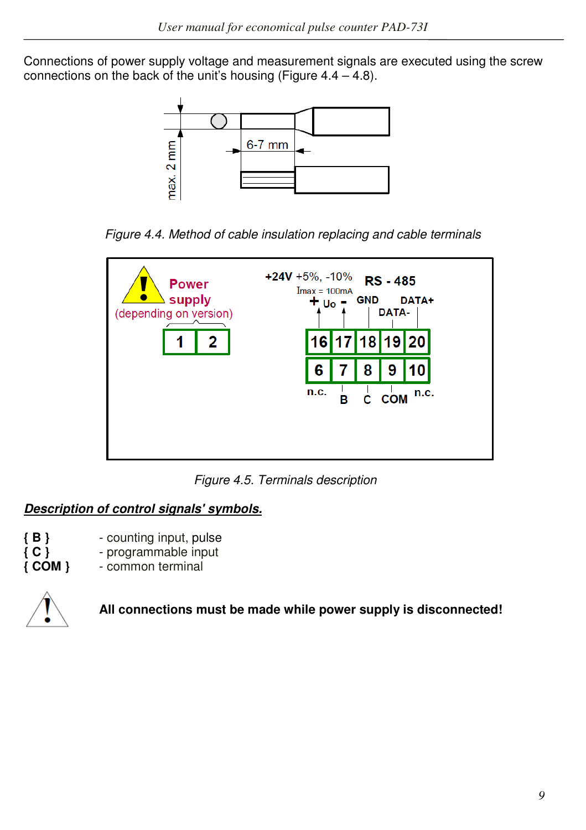Connections of power supply voltage and measurement signals are executed using the screw connections on the back of the unit's housing (Figure  $4.4 - 4.8$ ).



*Figure 4.4. Method of cable insulation replacing and cable terminals* 



*Figure 4.5. Terminals description*

# *Description of control signals' symbols.*

- **{ B }**  counting input, pulse
- **{ C }**  programmable input
	- **{ COM }**  common terminal



 **All connections must be made while power supply is disconnected!**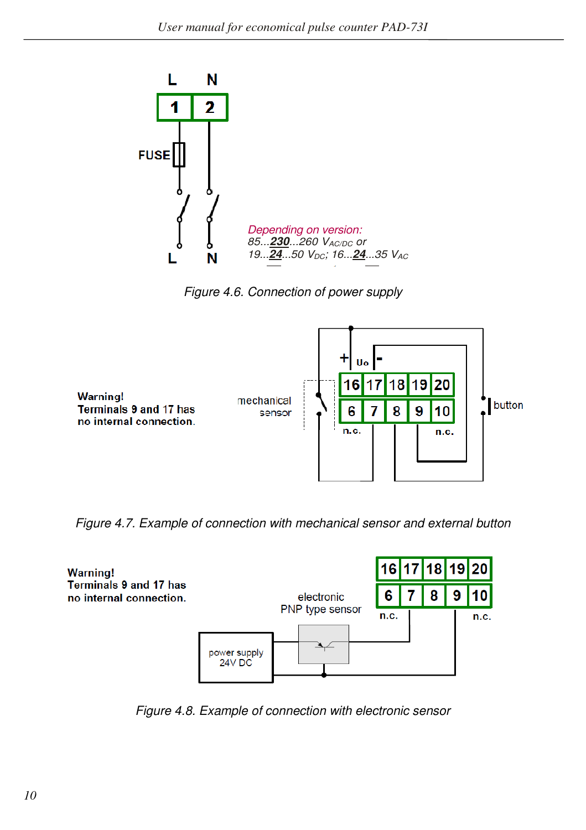

*Figure 4.6. Connection of power supply* 



*Figure 4.7. Example of connection with mechanical sensor and external button* 



*Figure 4.8. Example of connection with electronic sensor*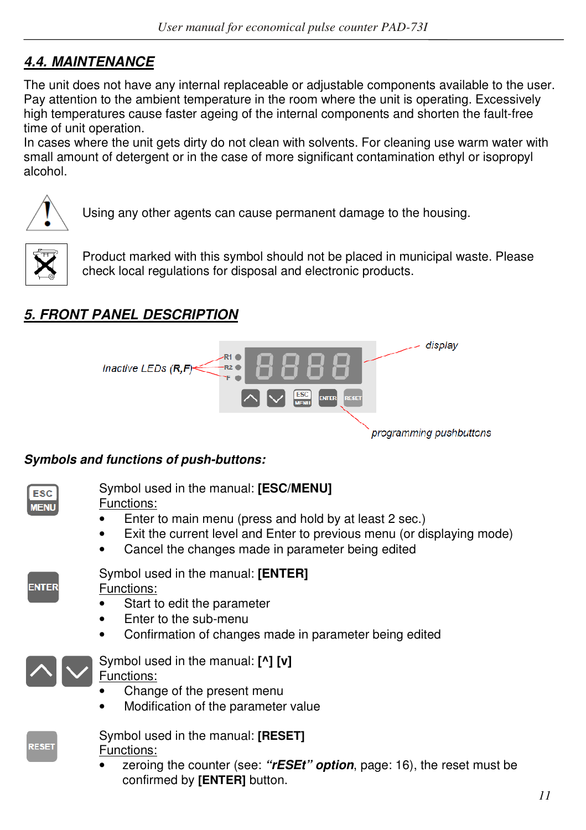# *4.4. MAINTENANCE*

The unit does not have any internal replaceable or adjustable components available to the user. Pay attention to the ambient temperature in the room where the unit is operating. Excessively high temperatures cause faster ageing of the internal components and shorten the fault-free time of unit operation.

In cases where the unit gets dirty do not clean with solvents. For cleaning use warm water with small amount of detergent or in the case of more significant contamination ethyl or isopropyl alcohol.



Using any other agents can cause permanent damage to the housing.



Product marked with this symbol should not be placed in municipal waste. Please check local regulations for disposal and electronic products.

# *5. FRONT PANEL DESCRIPTION*



#### *Symbols and functions of push-buttons:*

| Symbol used in the manual: [ENTER]<br><b>ENTER</b><br>Functions:<br>Start to edit the parameter<br>Enter to the sub-menu<br>Confirmation of changes made in parameter being edited<br>Symbol used in the manual: [^] [v]<br>Functions:<br>Change of the present menu<br>Modification of the parameter value<br>Symbol used in the manual: [RESET]<br><b>RESET</b><br>Functions:<br>confirmed by [ENTER] button. | <b>ESC</b><br><b>MENU</b> | Symbol used in the manual: [ESC/MENU]<br>Functions:<br>Enter to main menu (press and hold by at least 2 sec.)<br>Exit the current level and Enter to previous menu (or displaying mode)<br>Cancel the changes made in parameter being edited |
|-----------------------------------------------------------------------------------------------------------------------------------------------------------------------------------------------------------------------------------------------------------------------------------------------------------------------------------------------------------------------------------------------------------------|---------------------------|----------------------------------------------------------------------------------------------------------------------------------------------------------------------------------------------------------------------------------------------|
|                                                                                                                                                                                                                                                                                                                                                                                                                 |                           |                                                                                                                                                                                                                                              |
|                                                                                                                                                                                                                                                                                                                                                                                                                 |                           |                                                                                                                                                                                                                                              |
|                                                                                                                                                                                                                                                                                                                                                                                                                 |                           | zeroing the counter (see: "rESEt" option, page: 16), the reset must be                                                                                                                                                                       |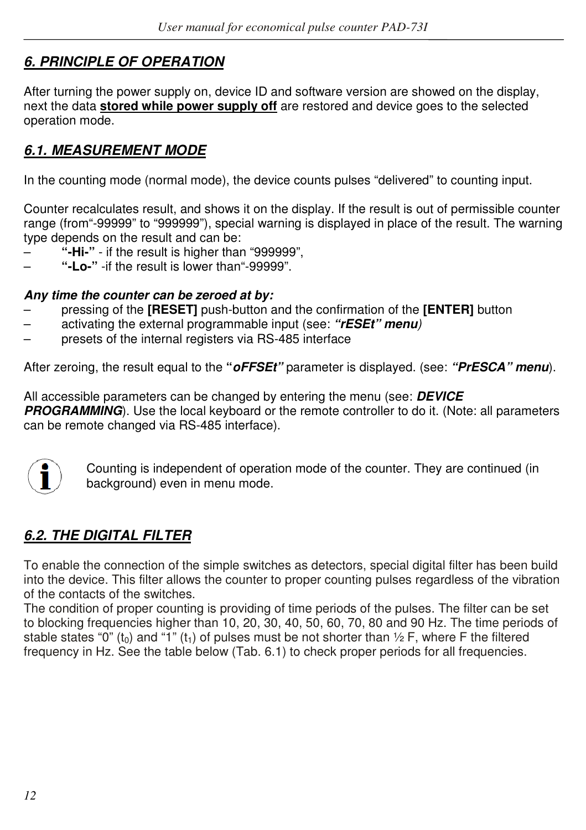# *6. PRINCIPLE OF OPERATION*

After turning the power supply on, device ID and software version are showed on the display, next the data **stored while power supply off** are restored and device goes to the selected operation mode.

# *6.1. MEASUREMENT MODE*

In the counting mode (normal mode), the device counts pulses "delivered" to counting input.

Counter recalculates result, and shows it on the display. If the result is out of permissible counter range (from"-99999" to "999999"), special warning is displayed in place of the result. The warning type depends on the result and can be:

- **"-Hi-"**  if the result is higher than "999999",
- **"-Lo-"** -if the result is lower than"-99999".

#### *Any time the counter can be zeroed at by:*

- pressing of the **[RESET]** push-button and the confirmation of the **[ENTER]** button
- activating the external programmable input (see: *"rESEt" menu)*
- presets of the internal registers via RS-485 interface

After zeroing, the result equal to the **"***oFFSEt"* parameter is displayed. (see: *"PrESCA" menu*).

All accessible parameters can be changed by entering the menu (see: *DEVICE*  **PROGRAMMING**). Use the local keyboard or the remote controller to do it. (Note: all parameters can be remote changed via RS-485 interface).



Counting is independent of operation mode of the counter. They are continued (in background) even in menu mode.

# *6.2. THE DIGITAL FILTER*

To enable the connection of the simple switches as detectors, special digital filter has been build into the device. This filter allows the counter to proper counting pulses regardless of the vibration of the contacts of the switches.

The condition of proper counting is providing of time periods of the pulses. The filter can be set to blocking frequencies higher than 10, 20, 30, 40, 50, 60, 70, 80 and 90 Hz. The time periods of stable states "0" (t<sub>0</sub>) and "1" (t<sub>1</sub>) of pulses must be not shorter than  $\frac{1}{2}$  F, where F the filtered frequency in Hz. See the table below (Tab. 6.1) to check proper periods for all frequencies.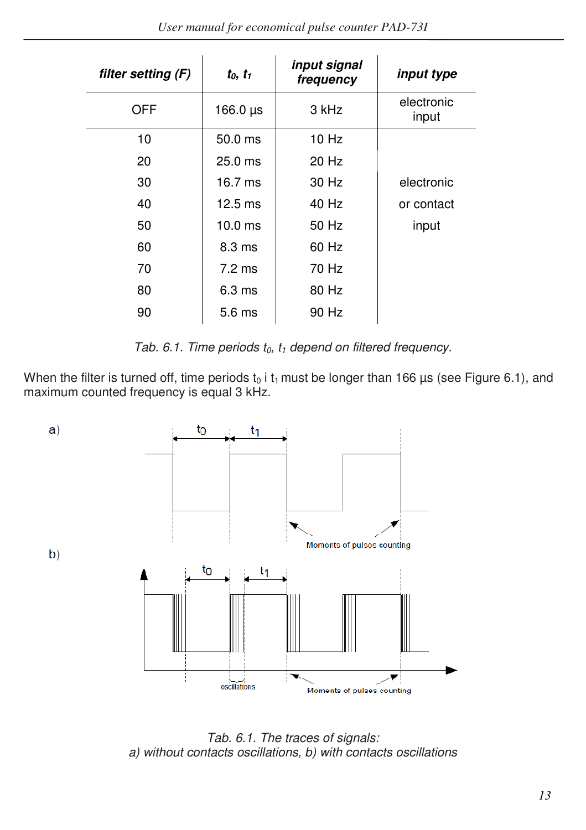| filter setting (F) | $t_0, t_1$        | input signal<br>frequency | input type          |
|--------------------|-------------------|---------------------------|---------------------|
| OFF                | 166.0 $\mu$ s     | 3 kHz                     | electronic<br>input |
| 10                 | $50.0$ ms         | $10$ Hz                   |                     |
| 20                 | $25.0$ ms         | 20 Hz                     |                     |
| 30                 | $16.7$ ms         | 30 Hz                     | electronic          |
| 40                 | $12.5 \text{ ms}$ | $40$ Hz                   | or contact          |
| 50                 | $10.0$ ms         | 50 Hz                     | input               |
| 60                 | $8.3 \text{ ms}$  | 60 Hz                     |                     |
| 70                 | $7.2 \text{ ms}$  | 70 Hz                     |                     |
| 80                 | 6.3 <sub>ms</sub> | 80 Hz                     |                     |
| 90                 | 5.6 <sub>ms</sub> | 90 Hz                     |                     |

*Tab. 6.1. Time periods t0, t1 depend on filtered frequency.*

When the filter is turned off, time periods  $t_0$  i  $t_1$  must be longer than 166 µs (see Figure 6.1), and maximum counted frequency is equal 3 kHz.



*Tab. 6.1. The traces of signals: a) without contacts oscillations, b) with contacts oscillations*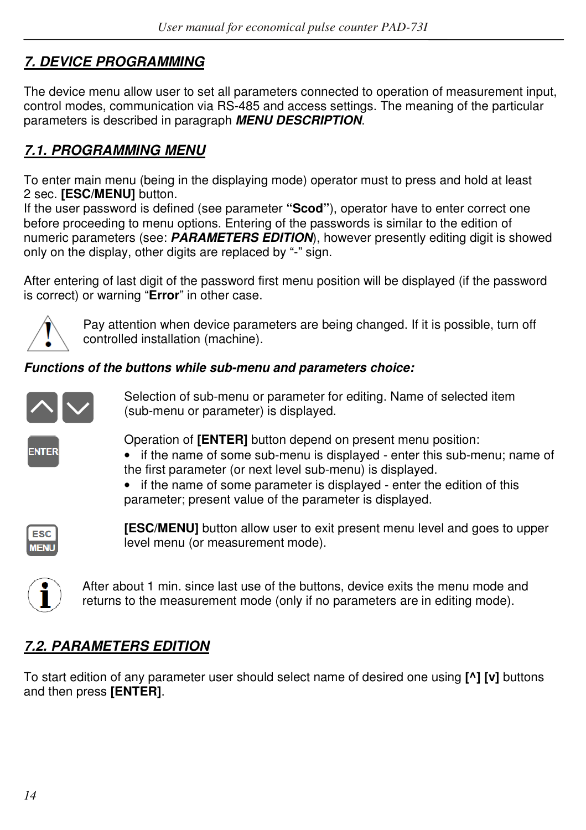# *7. DEVICE PROGRAMMING*

The device menu allow user to set all parameters connected to operation of measurement input, control modes, communication via RS-485 and access settings. The meaning of the particular parameters is described in paragraph *MENU DESCRIPTION*.

# *7.1. PROGRAMMING MENU*

To enter main menu (being in the displaying mode) operator must to press and hold at least 2 sec. **[ESC/MENU]** button.

If the user password is defined (see parameter **"Scod"**), operator have to enter correct one before proceeding to menu options. Entering of the passwords is similar to the edition of numeric parameters (see: *PARAMETERS EDITION*), however presently editing digit is showed only on the display, other digits are replaced by "-" sign.

After entering of last digit of the password first menu position will be displayed (if the password is correct) or warning "**Error**" in other case.



Pay attention when device parameters are being changed. If it is possible, turn off controlled installation (machine).

## *Functions of the buttons while sub-menu and parameters choice:*



Selection of sub-menu or parameter for editing. Name of selected item (sub-menu or parameter) is displayed.



Operation of **[ENTER]** button depend on present menu position:

- if the name of some sub-menu is displayed enter this sub-menu; name of the first parameter (or next level sub-menu) is displayed.
- if the name of some parameter is displayed enter the edition of this parameter; present value of the parameter is displayed.



**[ESC/MENU]** button allow user to exit present menu level and goes to upper level menu (or measurement mode).



After about 1 min. since last use of the buttons, device exits the menu mode and returns to the measurement mode (only if no parameters are in editing mode).

# *7.2. PARAMETERS EDITION*

To start edition of any parameter user should select name of desired one using **[^] [v]** buttons and then press **[ENTER]**.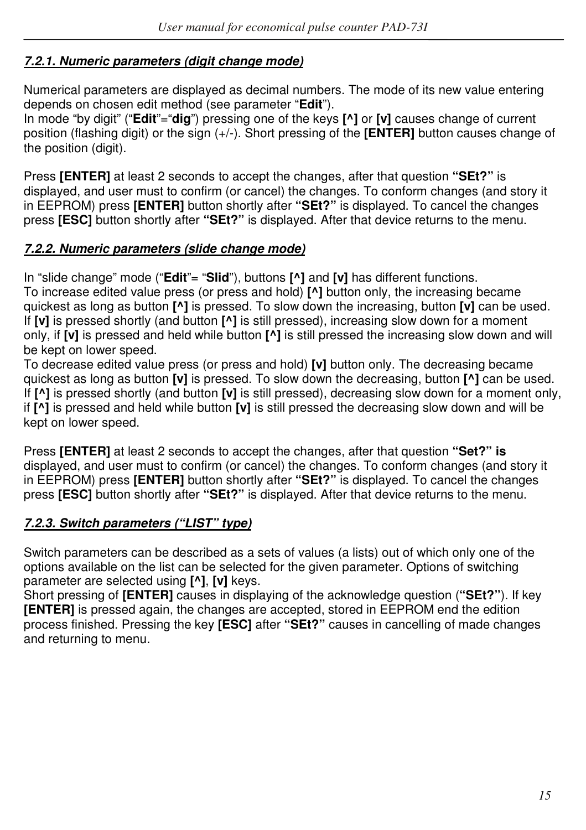#### *7.2.1. Numeric parameters (digit change mode)*

Numerical parameters are displayed as decimal numbers. The mode of its new value entering depends on chosen edit method (see parameter "**Edit**").

In mode "by digit" ("**Edit**"="**dig**") pressing one of the keys **[^]** or **[v]** causes change of current position (flashing digit) or the sign (+/-). Short pressing of the **[ENTER]** button causes change of the position (digit).

Press **[ENTER]** at least 2 seconds to accept the changes, after that question **"SEt?"** is displayed, and user must to confirm (or cancel) the changes. To conform changes (and story it in EEPROM) press **[ENTER]** button shortly after **"SEt?"** is displayed. To cancel the changes press **[ESC]** button shortly after **"SEt?"** is displayed. After that device returns to the menu.

#### *7.2.2. Numeric parameters (slide change mode)*

In "slide change" mode ("**Edit**"= "**Slid**"), buttons **[^]** and **[v]** has different functions. To increase edited value press (or press and hold) **[^]** button only, the increasing became quickest as long as button **[^]** is pressed. To slow down the increasing, button **[v]** can be used. If **[v]** is pressed shortly (and button **[^]** is still pressed), increasing slow down for a moment only, if **[v]** is pressed and held while button **[^]** is still pressed the increasing slow down and will be kept on lower speed.

To decrease edited value press (or press and hold) **[v]** button only. The decreasing became quickest as long as button **[v]** is pressed. To slow down the decreasing, button **[^]** can be used. If **[^]** is pressed shortly (and button **[v]** is still pressed), decreasing slow down for a moment only, if **[^]** is pressed and held while button **[v]** is still pressed the decreasing slow down and will be kept on lower speed.

Press **[ENTER]** at least 2 seconds to accept the changes, after that question **"Set?" is**  displayed, and user must to confirm (or cancel) the changes. To conform changes (and story it in EEPROM) press **[ENTER]** button shortly after **"SEt?"** is displayed. To cancel the changes press **[ESC]** button shortly after **"SEt?"** is displayed. After that device returns to the menu.

## *7.2.3. Switch parameters ("LIST" type)*

Switch parameters can be described as a sets of values (a lists) out of which only one of the options available on the list can be selected for the given parameter. Options of switching parameter are selected using **[^]**, **[v]** keys.

Short pressing of **[ENTER]** causes in displaying of the acknowledge question (**"SEt?"**). If key **[ENTER]** is pressed again, the changes are accepted, stored in EEPROM end the edition process finished. Pressing the key **[ESC]** after **"SEt?"** causes in cancelling of made changes and returning to menu.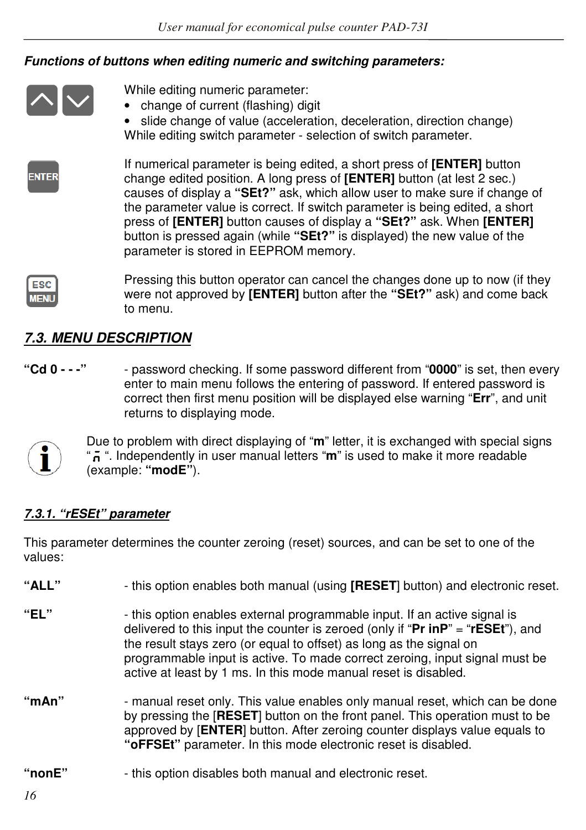#### *Functions of buttons when editing numeric and switching parameters:*



While editing numeric parameter:

• change of current (flashing) digit

• slide change of value (acceleration, deceleration, direction change) While editing switch parameter - selection of switch parameter.



If numerical parameter is being edited, a short press of **[ENTER]** button change edited position. A long press of **[ENTER]** button (at lest 2 sec.) causes of display a **"SEt?"** ask, which allow user to make sure if change of the parameter value is correct. If switch parameter is being edited, a short press of **[ENTER]** button causes of display a **"SEt?"** ask. When **[ENTER]**  button is pressed again (while **"SEt?"** is displayed) the new value of the parameter is stored in EEPROM memory.



Pressing this button operator can cancel the changes done up to now (if they were not approved by **[ENTER]** button after the **"SEt?"** ask) and come back to menu.

# *7.3. MENU DESCRIPTION*

**"Cd 0 - - -"** - password checking. If some password different from "**0000**" is set, then every enter to main menu follows the entering of password. If entered password is correct then first menu position will be displayed else warning "**Err**", and unit returns to displaying mode.



Due to problem with direct displaying of "**m**" letter, it is exchanged with special signs " ". Independently in user manual letters "**m**" is used to make it more readable (example: **"modE"**).

## *7.3.1. "rESEt" parameter*

This parameter determines the counter zeroing (reset) sources, and can be set to one of the values:

| "ALL"      | - this option enables both manual (using [RESET] button) and electronic reset.                                                                                                                                                                                                                                                                                                                   |
|------------|--------------------------------------------------------------------------------------------------------------------------------------------------------------------------------------------------------------------------------------------------------------------------------------------------------------------------------------------------------------------------------------------------|
| "FI "      | - this option enables external programmable input. If an active signal is<br>delivered to this input the counter is zeroed (only if " $Pr$ in $P$ " = " $rESEt$ "), and<br>the result stays zero (or equal to offset) as long as the signal on<br>programmable input is active. To made correct zeroing, input signal must be<br>active at least by 1 ms. In this mode manual reset is disabled. |
| " $mAn$ "  | - manual reset only. This value enables only manual reset, which can be done<br>by pressing the [RESET] button on the front panel. This operation must to be<br>approved by [ENTER] button. After zeroing counter displays value equals to<br>" <b>oFFSEt</b> " parameter. In this mode electronic reset is disabled.                                                                            |
| " $nonE"$  | - this option disables both manual and electronic reset.                                                                                                                                                                                                                                                                                                                                         |
| $\epsilon$ |                                                                                                                                                                                                                                                                                                                                                                                                  |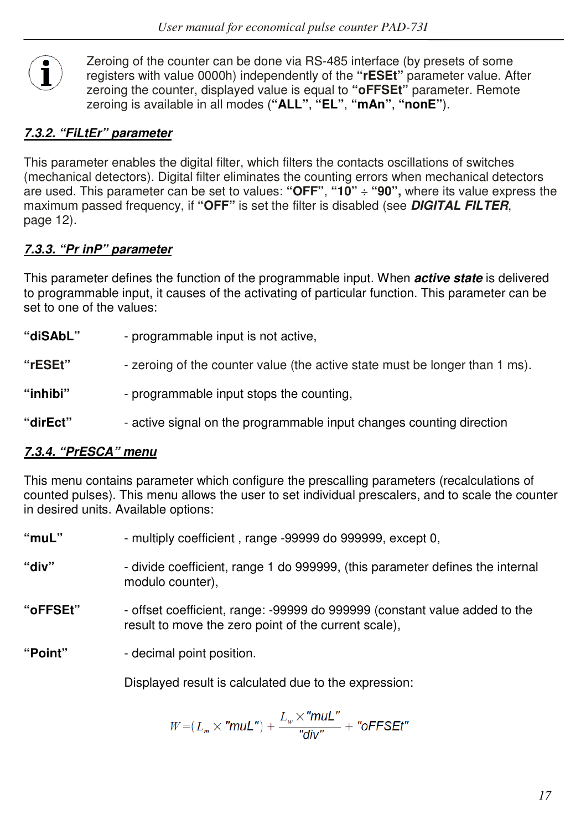

Zeroing of the counter can be done via RS-485 interface (by presets of some registers with value 0000h) independently of the **"rESEt"** parameter value. After zeroing the counter, displayed value is equal to **"oFFSEt"** parameter. Remote zeroing is available in all modes (**"ALL"**, **"EL"**, **"mAn"**, **"nonE"**).

## *7.3.2. "FiLtEr" parameter*

This parameter enables the digital filter, which filters the contacts oscillations of switches (mechanical detectors). Digital filter eliminates the counting errors when mechanical detectors are used. This parameter can be set to values: **"OFF"**, **"10"** ÷ **"90",** where its value express the maximum passed frequency, if **"OFF"** is set the filter is disabled (see *DIGITAL FILTER*, page 12).

## *7.3.3. "Pr inP" parameter*

This parameter defines the function of the programmable input. When *active state* is delivered to programmable input, it causes of the activating of particular function. This parameter can be set to one of the values:

- **"diSAbL"**  programmable input is not active,
- **"rESEt"**  zeroing of the counter value (the active state must be longer than 1 ms).
- **"inhibi"**  programmable input stops the counting,
- **"dirEct"**  active signal on the programmable input changes counting direction

## *7.3.4. "PrESCA" menu*

This menu contains parameter which configure the prescalling parameters (recalculations of counted pulses). This menu allows the user to set individual prescalers, and to scale the counter in desired units. Available options:

| " $mu L$ " | - multiply coefficient, range -99999 do 999999, except 0,                                                                          |
|------------|------------------------------------------------------------------------------------------------------------------------------------|
| "div"      | - divide coefficient, range 1 do 999999, (this parameter defines the internal<br>modulo counter),                                  |
| "oFFSEt"   | - offset coefficient, range: -99999 do 999999 (constant value added to the<br>result to move the zero point of the current scale), |
| "Point"    | - decimal point position.                                                                                                          |
|            | Displayed result is calculated due to the expression:                                                                              |
|            | $\tau$ . The set $\theta$                                                                                                          |

$$
W=(L_m\times "mult") + \frac{L_w\times "mult"}{"div" + "oFFSET"
$$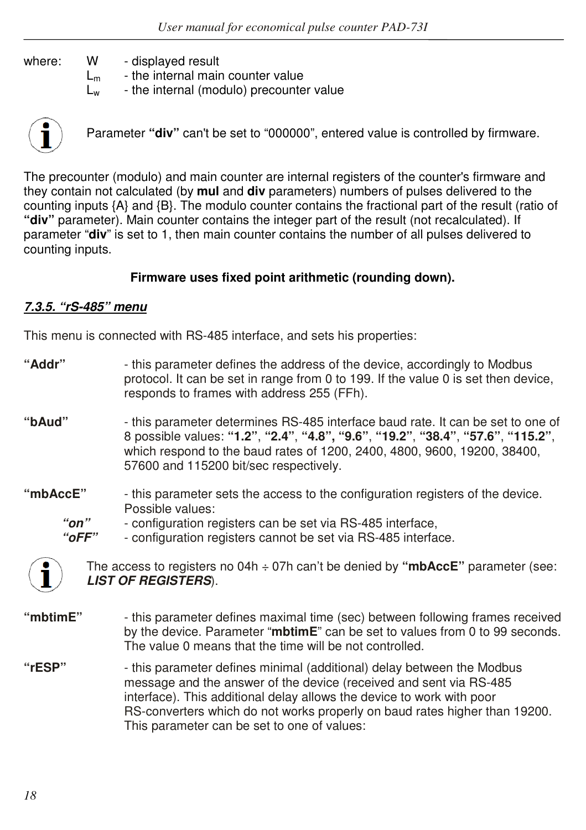where: W - displayed result

 $L_m$  - the internal main counter value

 $L<sub>w</sub>$  - the internal (modulo) precounter value



Parameter **"div"** can't be set to "000000", entered value is controlled by firmware.

The precounter (modulo) and main counter are internal registers of the counter's firmware and they contain not calculated (by **mul** and **div** parameters) numbers of pulses delivered to the counting inputs {A} and {B}. The modulo counter contains the fractional part of the result (ratio of **"div"** parameter). Main counter contains the integer part of the result (not recalculated). If parameter "**div**" is set to 1, then main counter contains the number of all pulses delivered to counting inputs.

#### **Firmware uses fixed point arithmetic (rounding down).**

#### *7.3.5. "rS-485" menu*

This menu is connected with RS-485 interface, and sets his properties:

- **"Addr"**  this parameter defines the address of the device, accordingly to Modbus protocol. It can be set in range from 0 to 199. If the value 0 is set then device, responds to frames with address 255 (FFh).
- **"bAud"**  this parameter determines RS-485 interface baud rate. It can be set to one of 8 possible values: **"1.2"**, **"2.4"**, **"4.8", "9.6"**, **"19.2"**, **"38.4"**, **"57.6"**, **"115.2"**, which respond to the baud rates of 1200, 2400, 4800, 9600, 19200, 38400, 57600 and 115200 bit/sec respectively.
- **"mbAccE"**  this parameter sets the access to the configuration registers of the device. Possible values:
	- *"on"*  configuration registers can be set via RS-485 interface,
	- *"oFF"*  configuration registers cannot be set via RS-485 interface.



The access to registers no 04h ÷ 07h can't be denied by **"mbAccE"** parameter (see: *LIST OF REGISTERS*).

- **"mbtimE"**  this parameter defines maximal time (sec) between following frames received by the device. Parameter "**mbtimE**" can be set to values from 0 to 99 seconds. The value 0 means that the time will be not controlled.
- **"rESP"**  this parameter defines minimal (additional) delay between the Modbus message and the answer of the device (received and sent via RS-485 interface). This additional delay allows the device to work with poor RS-converters which do not works properly on baud rates higher than 19200. This parameter can be set to one of values: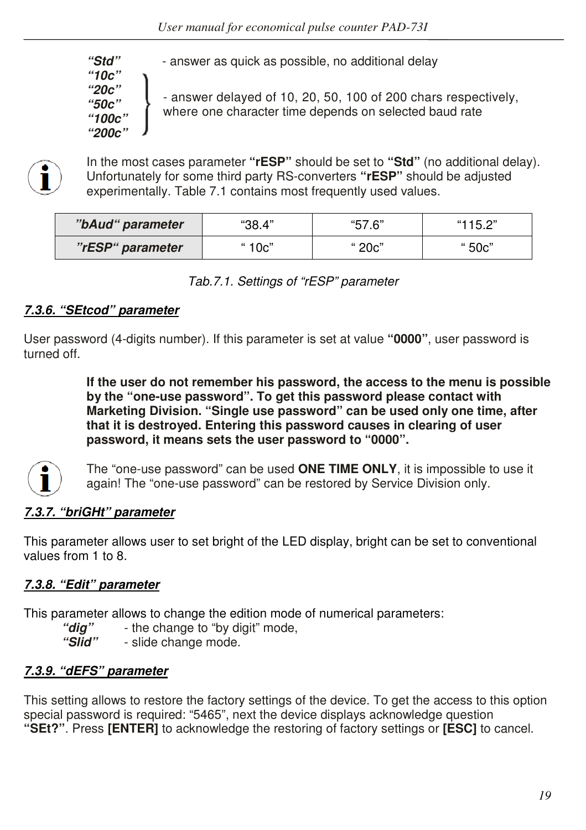*"10c" "20c" "50c" "100c" "200c"* 

 *"Std"* - answer as quick as possible, no additional delay

- answer delayed of 10, 20, 50, 100 of 200 chars respectively, where one character time depends on selected baud rate



In the most cases parameter **"rESP"** should be set to **"Std"** (no additional delay). Unfortunately for some third party RS-converters **"rESP"** should be adjusted experimentally. Table 7.1 contains most frequently used values.

| "bAud" parameter | "38.4" | "57.6" | "115.2" |
|------------------|--------|--------|---------|
| "rESP" parameter | " 10c" | " 20c" | " 50c"  |

*Tab.7.1. Settings of "rESP" parameter*

#### *7.3.6. "SEtcod" parameter*

User password (4-digits number). If this parameter is set at value **"0000"**, user password is turned off.

> **If the user do not remember his password, the access to the menu is possible by the "one-use password". To get this password please contact with Marketing Division. "Single use password" can be used only one time, after that it is destroyed. Entering this password causes in clearing of user password, it means sets the user password to "0000".**



The "one-use password" can be used **ONE TIME ONLY**, it is impossible to use it again! The "one-use password" can be restored by Service Division only.

## *7.3.7. "briGHt" parameter*

This parameter allows user to set bright of the LED display, bright can be set to conventional values from 1 to 8.

## *7.3.8. "Edit" parameter*

This parameter allows to change the edition mode of numerical parameters:

- *"dig"*  the change to "by digit" mode,
- *"Slid"*  slide change mode.

#### *7.3.9. "dEFS" parameter*

This setting allows to restore the factory settings of the device. To get the access to this option special password is required: "5465", next the device displays acknowledge question **"SEt?"**. Press **[ENTER]** to acknowledge the restoring of factory settings or **[ESC]** to cancel.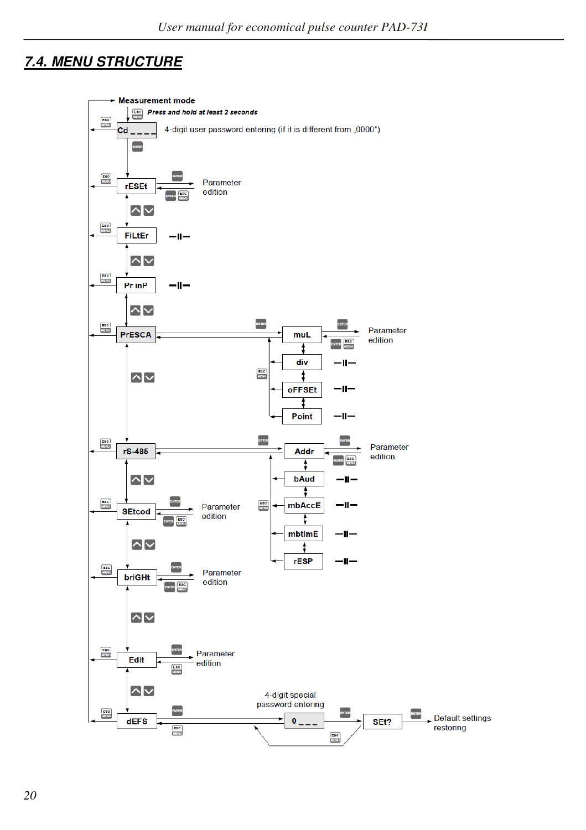# *7.4. MENU STRUCTURE*

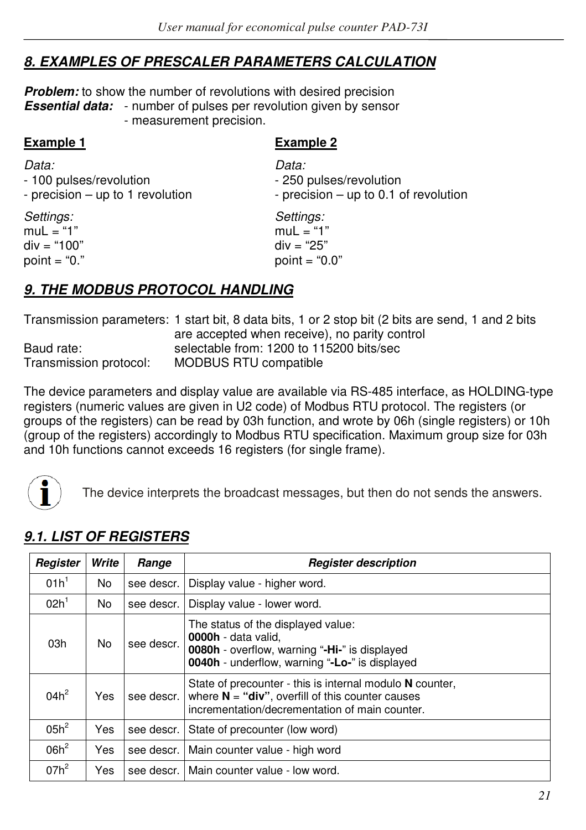# *8. EXAMPLES OF PRESCALER PARAMETERS CALCULATION*

**Problem:** to show the number of revolutions with desired precision **Essential data:** - number of pulses per revolution given by sensor - measurement precision.

| <b>Example 1</b>                 | <b>Example 2</b>                      |
|----------------------------------|---------------------------------------|
| Data:                            | Data:                                 |
| - 100 pulses/revolution          | - 250 pulses/revolution               |
| - precision – up to 1 revolution | - precision – up to 0.1 of revolution |
| Settings:                        | Settings:                             |
| muL = "1"                        | $mul = "1"$                           |
| div = "100"                      | $div = "25"$                          |
| point = "0."                     | point = " $0.0$ "                     |
| 9 THE MODRUS PROTOCOL HANDLING   |                                       |

## *9. THE MODBUS PROTOCOL HANDLING*

Transmission parameters: 1 start bit, 8 data bits, 1 or 2 stop bit (2 bits are send, 1 and 2 bits are accepted when receive), no parity control Baud rate: selectable from: 1200 to 115200 bits/sec Transmission protocol: MODBUS RTU compatible

The device parameters and display value are available via RS-485 interface, as HOLDING-type registers (numeric values are given in U2 code) of Modbus RTU protocol. The registers (or groups of the registers) can be read by 03h function, and wrote by 06h (single registers) or 10h (group of the registers) accordingly to Modbus RTU specification. Maximum group size for 03h and 10h functions cannot exceeds 16 registers (for single frame).



The device interprets the broadcast messages, but then do not sends the answers.

| Register         | Write          | Range      | <b>Register description</b>                                                                                                                                         |
|------------------|----------------|------------|---------------------------------------------------------------------------------------------------------------------------------------------------------------------|
| 01h <sup>1</sup> | N <sub>0</sub> | see descr. | Display value - higher word.                                                                                                                                        |
| 02h <sup>1</sup> | <b>No</b>      | see descr. | Display value - lower word.                                                                                                                                         |
| 03h              | N <sub>0</sub> | see descr. | The status of the displayed value:<br>0000h - data valid.<br><b>0080h</b> - overflow, warning "-Hi-" is displayed<br>0040h - underflow, warning "-Lo-" is displayed |
| $04h^2$          | Yes            | see descr. | State of precounter - this is internal modulo N counter,<br>where $N = "div",$ overfill of this counter causes<br>incrementation/decrementation of main counter.    |
| $05h^2$          | Yes            | see descr. | State of precounter (low word)                                                                                                                                      |
| $06h^2$          | Yes            | see descr. | Main counter value - high word                                                                                                                                      |
| $07h^2$          | Yes            | see descr. | Main counter value - low word.                                                                                                                                      |

## *9.1. LIST OF REGISTERS*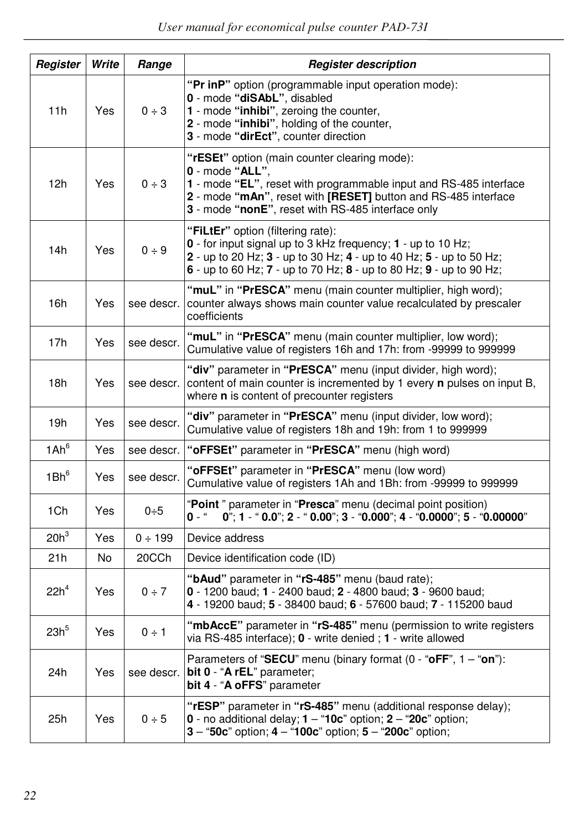| Register         | Write | Range        | <b>Register description</b>                                                                                                                                                                                                                                   |
|------------------|-------|--------------|---------------------------------------------------------------------------------------------------------------------------------------------------------------------------------------------------------------------------------------------------------------|
| 11h              | Yes   | $0 \div 3$   | "Pr inP" option (programmable input operation mode):<br>0 - mode "diSAbL", disabled<br>1 - mode "inhibi", zeroing the counter,<br>2 - mode "inhibi", holding of the counter,<br>3 - mode "dirEct", counter direction                                          |
| 12h              | Yes   | $0 \div 3$   | "rESEt" option (main counter clearing mode):<br>$0$ - mode "ALL".<br>1 - mode "EL", reset with programmable input and RS-485 interface<br>2 - mode "mAn", reset with [RESET] button and RS-485 interface<br>3 - mode "nonE", reset with RS-485 interface only |
| 14h              | Yes   | 0 ÷ 9        | "FiLtEr" option (filtering rate):<br>$0$ - for input signal up to 3 kHz frequency; $1$ - up to 10 Hz;<br>2 - up to 20 Hz; 3 - up to 30 Hz; 4 - up to 40 Hz; 5 - up to 50 Hz;<br>6 - up to 60 Hz; $7$ - up to 70 Hz; $8$ - up to 80 Hz; $9$ - up to 90 Hz;     |
| 16h              | Yes   | see descr.   | "muL" in "PrESCA" menu (main counter multiplier, high word);<br>counter always shows main counter value recalculated by prescaler<br>coefficients                                                                                                             |
| 17h              | Yes   | see descr.   | "muL" in "PrESCA" menu (main counter multiplier, low word);<br>Cumulative value of registers 16h and 17h: from -99999 to 999999                                                                                                                               |
| 18h              | Yes   | see descr.   | "div" parameter in "PrESCA" menu (input divider, high word);<br>content of main counter is incremented by 1 every <b>n</b> pulses on input B,<br>where <b>n</b> is content of precounter registers                                                            |
| 19h              | Yes   | see descr.   | "div" parameter in "PrESCA" menu (input divider, low word);<br>Cumulative value of registers 18h and 19h: from 1 to 999999                                                                                                                                    |
| 1Ah <sup>6</sup> | Yes   | see descr.   | "oFFSEt" parameter in "PrESCA" menu (high word)                                                                                                                                                                                                               |
| $1Bh^6$          | Yes   | see descr.   | "oFFSEt" parameter in "PrESCA" menu (low word)<br>Cumulative value of registers 1Ah and 1Bh: from -99999 to 999999                                                                                                                                            |
| 1Ch              | Yes   | $0+5$        | "Point" parameter in "Presca" menu (decimal point position)<br>$0$ "; 1 - " 0.0"; 2 - " 0.00"; 3 - "0.000"; 4 - "0.0000"; 5 - "0.00000"<br>0 - "                                                                                                              |
| $20h^3$          | Yes   | $0 \div 199$ | Device address                                                                                                                                                                                                                                                |
| 21h              | No.   | 20CCh        | Device identification code (ID)                                                                                                                                                                                                                               |
| $22h^4$          | Yes   | $0 \div 7$   | "bAud" parameter in "rS-485" menu (baud rate);<br>0 - 1200 baud; 1 - 2400 baud; 2 - 4800 baud; 3 - 9600 baud;<br>4 - 19200 baud; 5 - 38400 baud; 6 - 57600 baud; 7 - 115200 baud                                                                              |
| 23h <sup>5</sup> | Yes   | $0 \div 1$   | "mbAccE" parameter in "rS-485" menu (permission to write registers<br>via RS-485 interface); 0 - write denied; 1 - write allowed                                                                                                                              |
| 24h              | Yes   | see descr.   | Parameters of "SECU" menu (binary format $(0 -$ "oFF", $1 -$ "on"):<br>bit 0 - "A rEL" parameter;<br>bit 4 - "A oFFS" parameter                                                                                                                               |
| 25h              | Yes   | 0 ÷ 5        | "rESP" parameter in "rS-485" menu (additional response delay);<br>0 - no additional delay; $1 - 10c$ " option; $2 - 20c$ " option;<br>$3 - 50c$ " option; $4 - 100c$ " option; $5 - 200c$ " option;                                                           |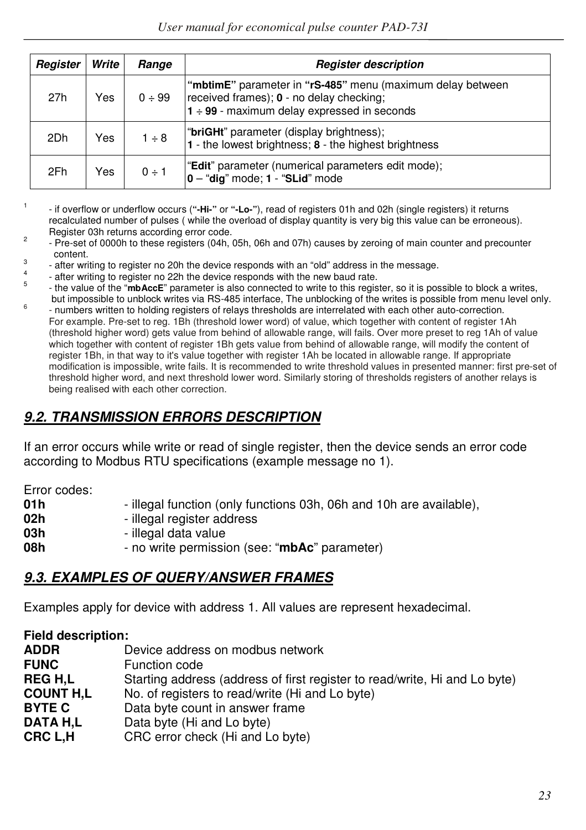| Register | Write | Range      | <b>Register description</b>                                                                                                                                |
|----------|-------|------------|------------------------------------------------------------------------------------------------------------------------------------------------------------|
| 27h      | Yes   | 0 ÷ 99     | "mbtimE" parameter in "rS-485" menu (maximum delay between<br>received frames); 0 - no delay checking;<br>$1 \div 99$ - maximum delay expressed in seconds |
| 2Dh      | Yes   | $1 \div 8$ | "briGHt" parameter (display brightness);<br>1 - the lowest brightness; 8 - the highest brightness                                                          |
| 2Fh      | Yes   | $0 \div 1$ | "Edit" parameter (numerical parameters edit mode);<br>$0 - "dig" mode; 1 - "SLid" mode$                                                                    |

1 - if overflow or underflow occurs (**"-Hi-"** or **"-Lo-"**), read of registers 01h and 02h (single registers) it returns recalculated number of pulses ( while the overload of display quantity is very big this value can be erroneous). Register 03h returns according error code.

 $\overline{2}$  - Pre-set of 0000h to these registers (04h, 05h, 06h and 07h) causes by zeroing of main counter and precounter content.

3 - after writing to register no 20h the device responds with an "old" address in the message.

4 - after writing to register no 22h the device responds with the new baud rate. 5

- the value of the "**mbAccE**" parameter is also connected to write to this register, so it is possible to block a writes, but impossible to unblock writes via RS-485 interface, The unblocking of the writes is possible from menu level only.
- 6 - numbers written to holding registers of relays thresholds are interrelated with each other auto-correction. For example. Pre-set to reg. 1Bh (threshold lower word) of value, which together with content of register 1Ah (threshold higher word) gets value from behind of allowable range, will fails. Over more preset to reg 1Ah of value which together with content of register 1Bh gets value from behind of allowable range, will modify the content of register 1Bh, in that way to it's value together with register 1Ah be located in allowable range. If appropriate modification is impossible, write fails. It is recommended to write threshold values in presented manner: first pre-set of threshold higher word, and next threshold lower word. Similarly storing of thresholds registers of another relays is being realised with each other correction.

# *9.2. TRANSMISSION ERRORS DESCRIPTION*

If an error occurs while write or read of single register, then the device sends an error code according to Modbus RTU specifications (example message no 1).

Error codes:

| 01 h | - illegal function (only functions 03h, 06h and 10h are available), |
|------|---------------------------------------------------------------------|
| 02h  | - illegal register address                                          |
| 03h  | - illegal data value                                                |
| 08h  | - no write permission (see: "mbAc" parameter)                       |

## *9.3. EXAMPLES OF QUERY/ANSWER FRAMES*

Examples apply for device with address 1. All values are represent hexadecimal.

| <b>Field description:</b> |                                                                            |
|---------------------------|----------------------------------------------------------------------------|
| <b>ADDR</b>               | Device address on modbus network                                           |
| <b>FUNC</b>               | Function code                                                              |
| <b>REGH.L</b>             | Starting address (address of first register to read/write, Hi and Lo byte) |
| <b>COUNT H.L</b>          | No. of registers to read/write (Hi and Lo byte)                            |
| <b>BYTE C</b>             | Data byte count in answer frame                                            |
| DATA H.L                  | Data byte (Hi and Lo byte)                                                 |
| CRC L.H                   | CRC error check (Hi and Lo byte)                                           |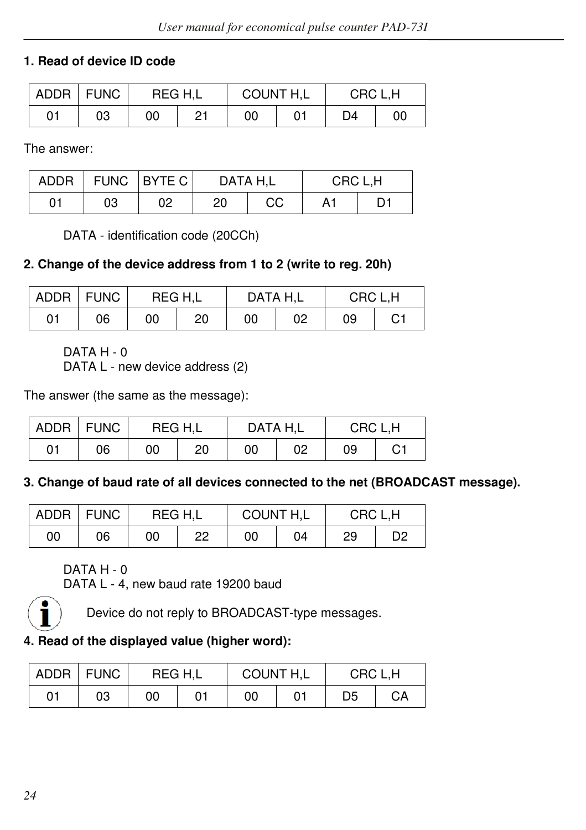## **1. Read of device ID code**

| ADDR   FUNC |    | REG H.L |    | COUNT H,L |  | CRC L.H |    |
|-------------|----|---------|----|-----------|--|---------|----|
| 01          | 03 | 00      | 01 | 00        |  | D4      | 00 |

The answer:

|    |    | ADDR   FUNC   BYTE C | DATA H.L |    | CRC L.H |  |  |
|----|----|----------------------|----------|----|---------|--|--|
| 01 | 03 | 02                   | 20       | CС | A1      |  |  |

DATA - identification code (20CCh)

#### **2. Change of the device address from 1 to 2 (write to reg. 20h)**

|    | ADDR   FUNC | REG H.L |    | DATA H.L |    | CRC L.H |    |  |
|----|-------------|---------|----|----------|----|---------|----|--|
| 01 | 06          | 00      | 20 | 00       | 02 | 09      | C1 |  |

DATA H - 0

DATA L - new device address (2)

The answer (the same as the message):

| <b>ADDR</b> | <b>FUNC</b> | REG H.L |    | DATA H.L |    | CRC L.H |    |
|-------------|-------------|---------|----|----------|----|---------|----|
| 01          | 06          | 00      | 20 | 00       | 02 | 09      | C1 |

#### **3. Change of baud rate of all devices connected to the net (BROADCAST message).**

|    | ADDR   FUNC | REG H.L |    | COUNT H,L |    | CRC L.H |    |
|----|-------------|---------|----|-----------|----|---------|----|
| 00 | 06          | 00      | 22 | 00        | 04 | 29      | D2 |

## DATA H - 0

DATA L - 4, new baud rate 19200 baud



Device do not reply to BROADCAST-type messages.

## **4. Read of the displayed value (higher word):**

| <b>ADDR</b> | <b>FUNC</b> | REG H.L |    | COUNT H,L |  | CRC L.H |    |  |
|-------------|-------------|---------|----|-----------|--|---------|----|--|
| 01          | 03          | 00      | 01 | 00        |  | D5      | CА |  |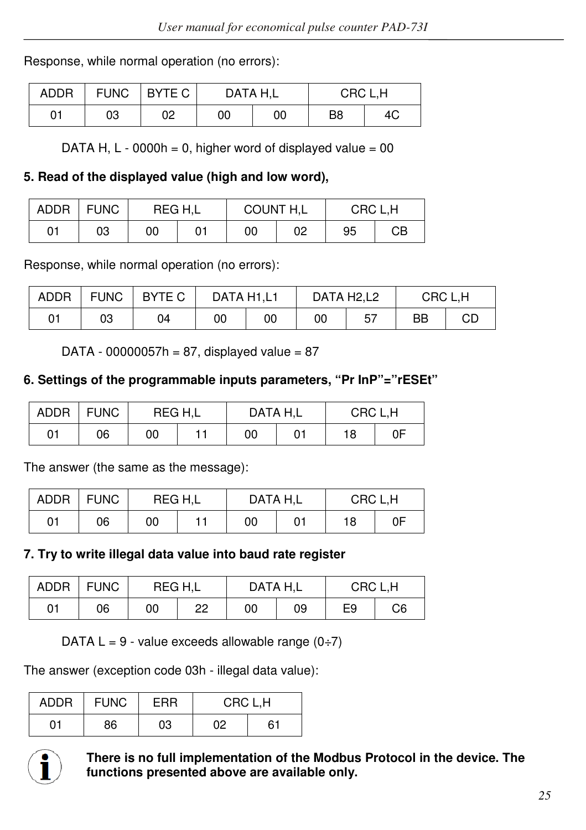Response, while normal operation (no errors):

| ADDR | <b>FUNC</b> | I BYTE C | DATA H.L |    | CRC L.H |    |  |
|------|-------------|----------|----------|----|---------|----|--|
| 01   | 03          | 02       | 00       | 00 | B8      | 4C |  |

DATA H,  $L - 0000h = 0$ , higher word of displayed value = 00

#### **5. Read of the displayed value (high and low word),**

| <b>ADDR</b> | <b>FUNC</b> |    | REG H.L | COUNT H,L |    | CRC L.H |    |
|-------------|-------------|----|---------|-----------|----|---------|----|
| 01          | 03          | 00 |         | 00        | 02 | 95      | CВ |

Response, while normal operation (no errors):

| <b>ADDR</b> | <b>FUNC</b> | BYTE C | DATA H1,L1 |    | DATA H2,L2 |    | CRC L.H |    |
|-------------|-------------|--------|------------|----|------------|----|---------|----|
| 01          | 03          | 04     | 00         | 00 | 00         | 57 | BB      | CЕ |

DATA - 00000057h = 87, displayed value =  $87$ 

## **6. Settings of the programmable inputs parameters, "Pr InP"="rESEt"**

| <b>ADDR</b> | <b>FUNC</b> |    | REG H.L | DATA H.L |  | CRC L.H |    |
|-------------|-------------|----|---------|----------|--|---------|----|
| 01          | 06          | 00 |         | 00       |  | 18      | 0F |

The answer (the same as the message):

| <b>ADDR</b> | <b>FUNC</b> | REG H.L |  | DATA H.L |  | CRC L.H |    |
|-------------|-------------|---------|--|----------|--|---------|----|
| 01          | 06          | 00      |  | 00       |  | 18      | 0F |

#### **7. Try to write illegal data value into baud rate register**

| ADDR | <b>FUNC</b> | REG H.L |    | DATA H.L |    | CRC L.H |    |
|------|-------------|---------|----|----------|----|---------|----|
| 01   | 06          | 00      | 22 | 00       | 09 | E9      | C6 |

DATA  $L = 9$  - value exceeds allowable range  $(0, 7)$ 

The answer (exception code 03h - illegal data value):

| <b>ADDR</b> | <b>FUNC</b> | ERR | CRC L.H |    |  |
|-------------|-------------|-----|---------|----|--|
| 01          | 86          | 03  | 02      | 61 |  |



**There is no full implementation of the Modbus Protocol in the device. The functions presented above are available only.**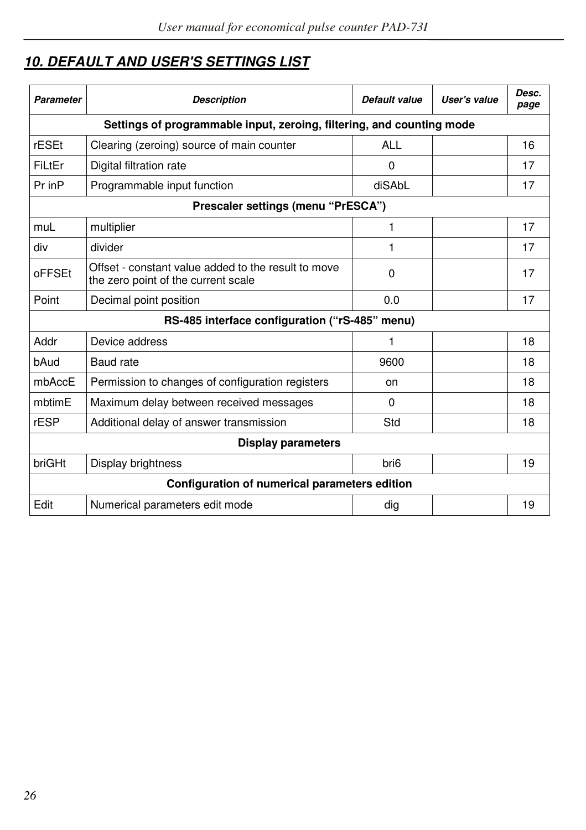# *10. DEFAULT AND USER'S SETTINGS LIST*

| Parameter                                                             | <b>Description</b>                                                                         | Default value    | User's value | Desc.<br>page |  |  |  |  |
|-----------------------------------------------------------------------|--------------------------------------------------------------------------------------------|------------------|--------------|---------------|--|--|--|--|
| Settings of programmable input, zeroing, filtering, and counting mode |                                                                                            |                  |              |               |  |  |  |  |
| rESEt                                                                 | Clearing (zeroing) source of main counter                                                  | <b>ALL</b>       |              | 16            |  |  |  |  |
| FiLtEr                                                                | Digital filtration rate                                                                    | $\Omega$         |              | 17            |  |  |  |  |
| Pr in P                                                               | Programmable input function                                                                | diSAbL           |              | 17            |  |  |  |  |
| Prescaler settings (menu "PrESCA")                                    |                                                                                            |                  |              |               |  |  |  |  |
| muL                                                                   | multiplier                                                                                 | 1                |              | 17            |  |  |  |  |
| div                                                                   | divider                                                                                    | 1                |              | 17            |  |  |  |  |
| oFFSEt                                                                | Offset - constant value added to the result to move<br>the zero point of the current scale | $\Omega$         |              | 17            |  |  |  |  |
| Point                                                                 | Decimal point position                                                                     | 0.0              |              | 17            |  |  |  |  |
| RS-485 interface configuration ("rS-485" menu)                        |                                                                                            |                  |              |               |  |  |  |  |
| Addr                                                                  | Device address                                                                             | 1                |              | 18            |  |  |  |  |
| bAud                                                                  | Baud rate                                                                                  | 9600             |              | 18            |  |  |  |  |
| mbAccE                                                                | Permission to changes of configuration registers                                           | on               |              | 18            |  |  |  |  |
| mbtimE                                                                | Maximum delay between received messages                                                    | 0                |              | 18            |  |  |  |  |
| rESP                                                                  | Additional delay of answer transmission                                                    | Std              |              | 18            |  |  |  |  |
| Display parameters                                                    |                                                                                            |                  |              |               |  |  |  |  |
| briGHt                                                                | Display brightness                                                                         | bri <sub>6</sub> |              | 19            |  |  |  |  |
| Configuration of numerical parameters edition                         |                                                                                            |                  |              |               |  |  |  |  |
| Edit                                                                  | Numerical parameters edit mode                                                             | dig              |              | 19            |  |  |  |  |